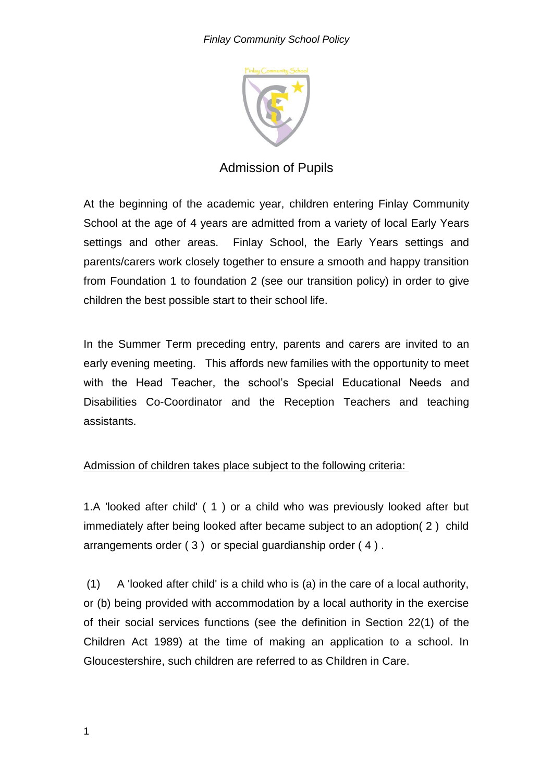

# Admission of Pupils

At the beginning of the academic year, children entering Finlay Community School at the age of 4 years are admitted from a variety of local Early Years settings and other areas. Finlay School, the Early Years settings and parents/carers work closely together to ensure a smooth and happy transition from Foundation 1 to foundation 2 (see our transition policy) in order to give children the best possible start to their school life.

In the Summer Term preceding entry, parents and carers are invited to an early evening meeting. This affords new families with the opportunity to meet with the Head Teacher, the school's Special Educational Needs and Disabilities Co-Coordinator and the Reception Teachers and teaching assistants.

# Admission of children takes place subject to the following criteria:

1.A 'looked after child' ( 1 ) or a child who was previously looked after but immediately after being looked after became subject to an adoption( 2 ) child arrangements order ( 3 ) or special guardianship order ( 4 ) .

(1) A 'looked after child' is a child who is (a) in the care of a local authority, or (b) being provided with accommodation by a local authority in the exercise of their social services functions (see the definition in Section 22(1) of the Children Act 1989) at the time of making an application to a school. In Gloucestershire, such children are referred to as Children in Care.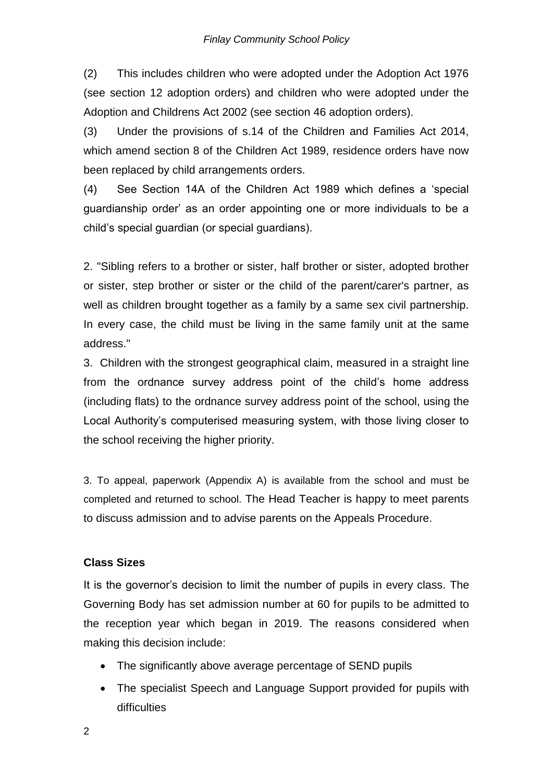(2) This includes children who were adopted under the Adoption Act 1976 (see section 12 adoption orders) and children who were adopted under the Adoption and Childrens Act 2002 (see section 46 adoption orders).

(3) Under the provisions of s.14 of the Children and Families Act 2014, which amend section 8 of the Children Act 1989, residence orders have now been replaced by child arrangements orders.

(4) See Section 14A of the Children Act 1989 which defines a 'special guardianship order' as an order appointing one or more individuals to be a child's special guardian (or special guardians).

2. "Sibling refers to a brother or sister, half brother or sister, adopted brother or sister, step brother or sister or the child of the parent/carer's partner, as well as children brought together as a family by a same sex civil partnership. In every case, the child must be living in the same family unit at the same address."

3. Children with the strongest geographical claim, measured in a straight line from the ordnance survey address point of the child's home address (including flats) to the ordnance survey address point of the school, using the Local Authority's computerised measuring system, with those living closer to the school receiving the higher priority.

3. To appeal, paperwork (Appendix A) is available from the school and must be completed and returned to school. The Head Teacher is happy to meet parents to discuss admission and to advise parents on the Appeals Procedure.

### **Class Sizes**

It is the governor's decision to limit the number of pupils in every class. The Governing Body has set admission number at 60 for pupils to be admitted to the reception year which began in 2019. The reasons considered when making this decision include:

- The significantly above average percentage of SEND pupils
- The specialist Speech and Language Support provided for pupils with difficulties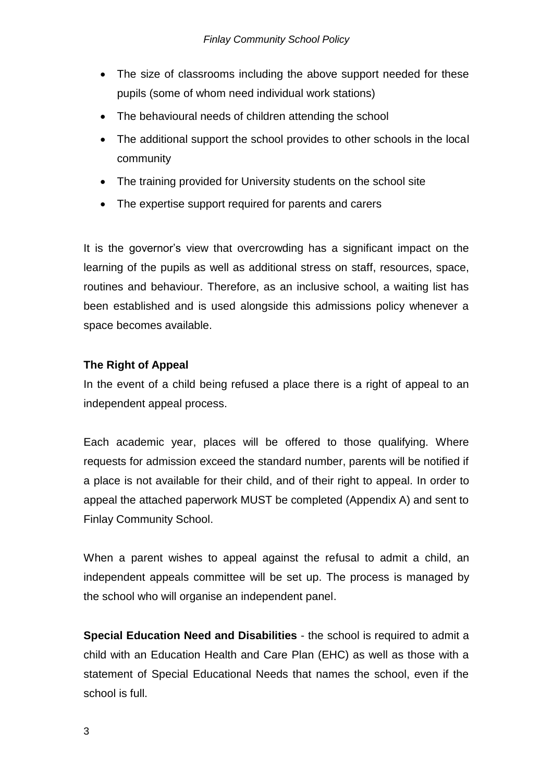- The size of classrooms including the above support needed for these pupils (some of whom need individual work stations)
- The behavioural needs of children attending the school
- The additional support the school provides to other schools in the local community
- The training provided for University students on the school site
- The expertise support required for parents and carers

It is the governor's view that overcrowding has a significant impact on the learning of the pupils as well as additional stress on staff, resources, space, routines and behaviour. Therefore, as an inclusive school, a waiting list has been established and is used alongside this admissions policy whenever a space becomes available.

# **The Right of Appeal**

In the event of a child being refused a place there is a right of appeal to an independent appeal process.

Each academic year, places will be offered to those qualifying. Where requests for admission exceed the standard number, parents will be notified if a place is not available for their child, and of their right to appeal. In order to appeal the attached paperwork MUST be completed (Appendix A) and sent to Finlay Community School.

When a parent wishes to appeal against the refusal to admit a child, an independent appeals committee will be set up. The process is managed by the school who will organise an independent panel.

**Special Education Need and Disabilities** - the school is required to admit a child with an Education Health and Care Plan (EHC) as well as those with a statement of Special Educational Needs that names the school, even if the school is full.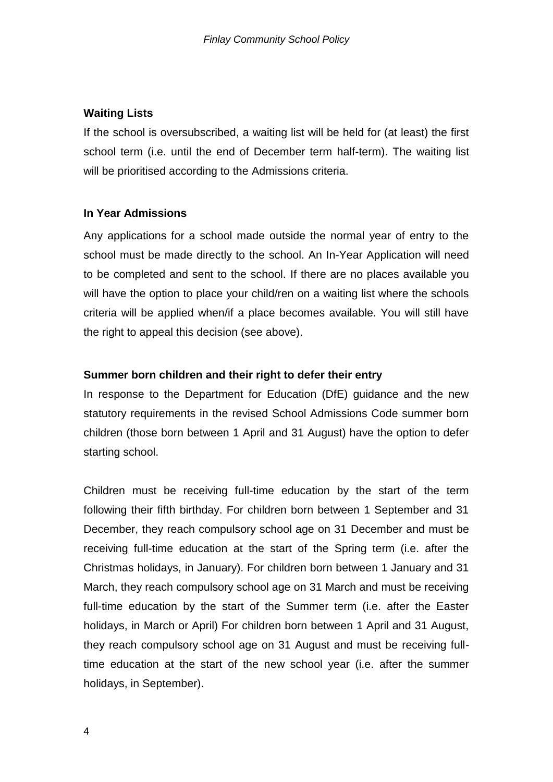### **Waiting Lists**

If the school is oversubscribed, a waiting list will be held for (at least) the first school term (i.e. until the end of December term half-term). The waiting list will be prioritised according to the Admissions criteria.

#### **In Year Admissions**

Any applications for a school made outside the normal year of entry to the school must be made directly to the school. An In-Year Application will need to be completed and sent to the school. If there are no places available you will have the option to place your child/ren on a waiting list where the schools criteria will be applied when/if a place becomes available. You will still have the right to appeal this decision (see above).

#### **Summer born children and their right to defer their entry**

In response to the Department for Education (DfE) guidance and the new statutory requirements in the revised School Admissions Code summer born children (those born between 1 April and 31 August) have the option to defer starting school.

Children must be receiving full-time education by the start of the term following their fifth birthday. For children born between 1 September and 31 December, they reach compulsory school age on 31 December and must be receiving full-time education at the start of the Spring term (i.e. after the Christmas holidays, in January). For children born between 1 January and 31 March, they reach compulsory school age on 31 March and must be receiving full-time education by the start of the Summer term (i.e. after the Easter holidays, in March or April) For children born between 1 April and 31 August, they reach compulsory school age on 31 August and must be receiving fulltime education at the start of the new school year (i.e. after the summer holidays, in September).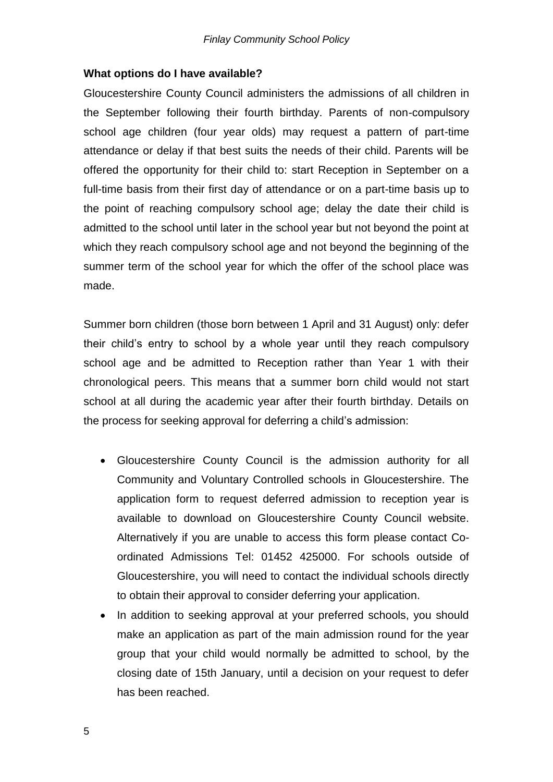#### **What options do I have available?**

Gloucestershire County Council administers the admissions of all children in the September following their fourth birthday. Parents of non-compulsory school age children (four year olds) may request a pattern of part-time attendance or delay if that best suits the needs of their child. Parents will be offered the opportunity for their child to: start Reception in September on a full-time basis from their first day of attendance or on a part-time basis up to the point of reaching compulsory school age; delay the date their child is admitted to the school until later in the school year but not beyond the point at which they reach compulsory school age and not beyond the beginning of the summer term of the school year for which the offer of the school place was made.

Summer born children (those born between 1 April and 31 August) only: defer their child's entry to school by a whole year until they reach compulsory school age and be admitted to Reception rather than Year 1 with their chronological peers. This means that a summer born child would not start school at all during the academic year after their fourth birthday. Details on the process for seeking approval for deferring a child's admission:

- Gloucestershire County Council is the admission authority for all Community and Voluntary Controlled schools in Gloucestershire. The application form to request deferred admission to reception year is available to download on Gloucestershire County Council website. Alternatively if you are unable to access this form please contact Coordinated Admissions Tel: 01452 425000. For schools outside of Gloucestershire, you will need to contact the individual schools directly to obtain their approval to consider deferring your application.
- In addition to seeking approval at your preferred schools, you should make an application as part of the main admission round for the year group that your child would normally be admitted to school, by the closing date of 15th January, until a decision on your request to defer has been reached.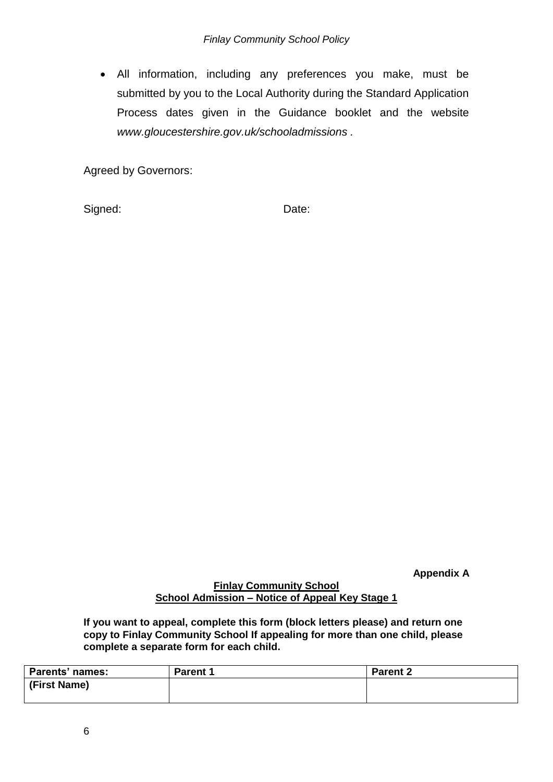All information, including any preferences you make, must be submitted by you to the Local Authority during the Standard Application Process dates given in the Guidance booklet and the website *www.gloucestershire.gov.uk/schooladmissions .*

Agreed by Governors:

Signed: Date:

**Appendix A**

#### **Finlay Community School School Admission – Notice of Appeal Key Stage 1**

**If you want to appeal, complete this form (block letters please) and return one copy to Finlay Community School If appealing for more than one child, please complete a separate form for each child.**

| Parents' names: | <b>Parent 1</b> | <b>Parent 2</b> |
|-----------------|-----------------|-----------------|
| (First Name)    |                 |                 |
|                 |                 |                 |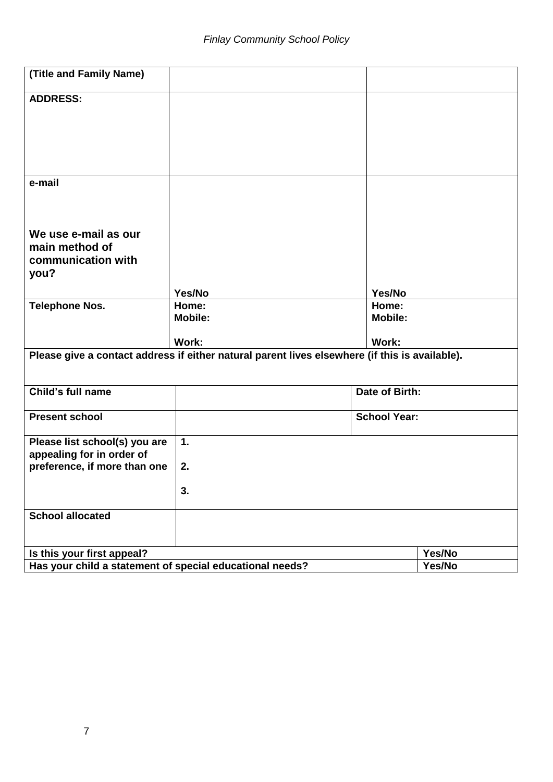| (Title and Family Name)                                                                        |                         |                         |        |  |
|------------------------------------------------------------------------------------------------|-------------------------|-------------------------|--------|--|
| <b>ADDRESS:</b>                                                                                |                         |                         |        |  |
|                                                                                                |                         |                         |        |  |
|                                                                                                |                         |                         |        |  |
|                                                                                                |                         |                         |        |  |
|                                                                                                |                         |                         |        |  |
| e-mail                                                                                         |                         |                         |        |  |
|                                                                                                |                         |                         |        |  |
|                                                                                                |                         |                         |        |  |
| We use e-mail as our<br>main method of                                                         |                         |                         |        |  |
| communication with                                                                             |                         |                         |        |  |
| you?                                                                                           |                         |                         |        |  |
|                                                                                                | Yes/No                  | Yes/No                  |        |  |
| <b>Telephone Nos.</b>                                                                          | Home:<br><b>Mobile:</b> | Home:<br><b>Mobile:</b> |        |  |
|                                                                                                |                         |                         |        |  |
|                                                                                                | Work:                   | Work:                   |        |  |
| Please give a contact address if either natural parent lives elsewhere (if this is available). |                         |                         |        |  |
|                                                                                                |                         |                         |        |  |
| Child's full name                                                                              |                         | Date of Birth:          |        |  |
| <b>Present school</b>                                                                          |                         | <b>School Year:</b>     |        |  |
|                                                                                                |                         |                         |        |  |
| Please list school(s) you are<br>appealing for in order of                                     | 1.                      |                         |        |  |
| preference, if more than one                                                                   | 2.                      |                         |        |  |
|                                                                                                |                         |                         |        |  |
|                                                                                                | 3.                      |                         |        |  |
| <b>School allocated</b>                                                                        |                         |                         |        |  |
|                                                                                                |                         |                         |        |  |
| Is this your first appeal?                                                                     |                         |                         | Yes/No |  |
| Has your child a statement of special educational needs?                                       |                         |                         | Yes/No |  |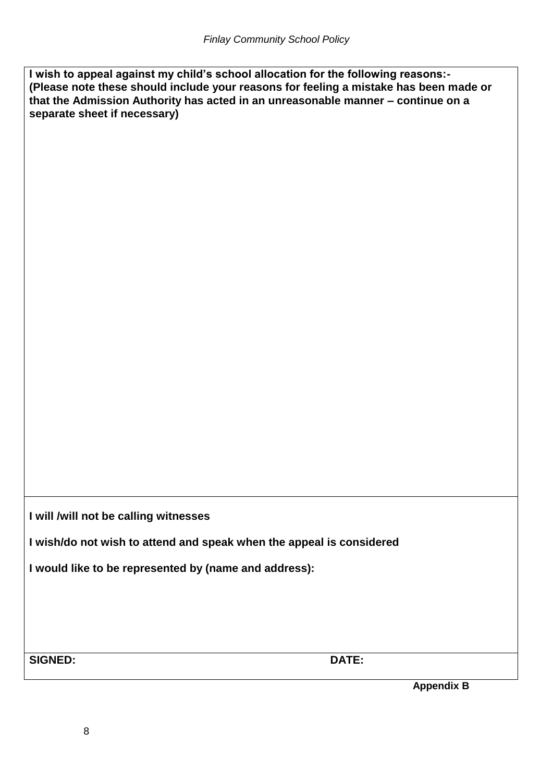**I wish to appeal against my child's school allocation for the following reasons:- (Please note these should include your reasons for feeling a mistake has been made or that the Admission Authority has acted in an unreasonable manner – continue on a separate sheet if necessary)**

**I will /will not be calling witnesses**

**I wish/do not wish to attend and speak when the appeal is considered** 

**I would like to be represented by (name and address):**

**SIGNED: DATE:**

**Appendix B**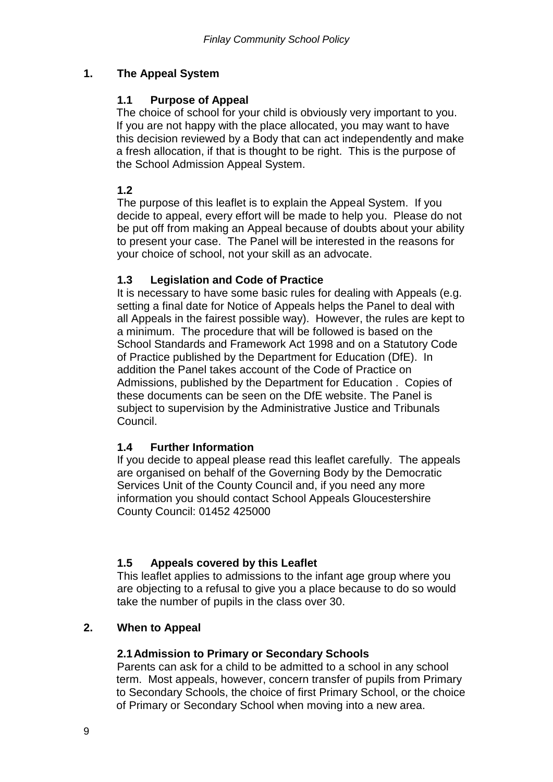# **1. The Appeal System**

### **1.1 Purpose of Appeal**

The choice of school for your child is obviously very important to you. If you are not happy with the place allocated, you may want to have this decision reviewed by a Body that can act independently and make a fresh allocation, if that is thought to be right. This is the purpose of the School Admission Appeal System.

**1.2**

The purpose of this leaflet is to explain the Appeal System. If you decide to appeal, every effort will be made to help you. Please do not be put off from making an Appeal because of doubts about your ability to present your case. The Panel will be interested in the reasons for your choice of school, not your skill as an advocate.

### **1.3 Legislation and Code of Practice**

It is necessary to have some basic rules for dealing with Appeals (e.g. setting a final date for Notice of Appeals helps the Panel to deal with all Appeals in the fairest possible way). However, the rules are kept to a minimum. The procedure that will be followed is based on the School Standards and Framework Act 1998 and on a Statutory Code of Practice published by the Department for Education (DfE). In addition the Panel takes account of the Code of Practice on Admissions, published by the Department for Education . Copies of these documents can be seen on the DfE website. The Panel is subject to supervision by the Administrative Justice and Tribunals Council.

### **1.4 Further Information**

If you decide to appeal please read this leaflet carefully. The appeals are organised on behalf of the Governing Body by the Democratic Services Unit of the County Council and, if you need any more information you should contact School Appeals Gloucestershire County Council: 01452 425000

### **1.5 Appeals covered by this Leaflet**

This leaflet applies to admissions to the infant age group where you are objecting to a refusal to give you a place because to do so would take the number of pupils in the class over 30.

### **2. When to Appeal**

#### **2.1Admission to Primary or Secondary Schools**

Parents can ask for a child to be admitted to a school in any school term. Most appeals, however, concern transfer of pupils from Primary to Secondary Schools, the choice of first Primary School, or the choice of Primary or Secondary School when moving into a new area.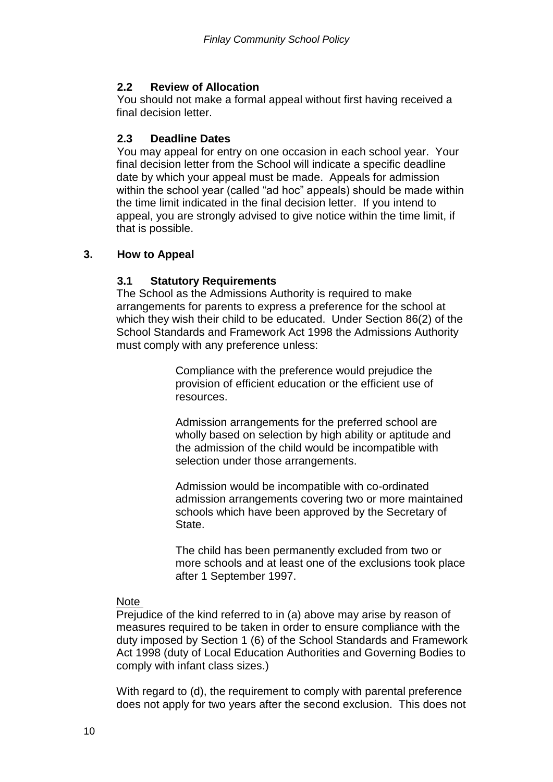## **2.2 Review of Allocation**

You should not make a formal appeal without first having received a final decision letter.

### **2.3 Deadline Dates**

You may appeal for entry on one occasion in each school year. Your final decision letter from the School will indicate a specific deadline date by which your appeal must be made. Appeals for admission within the school year (called "ad hoc" appeals) should be made within the time limit indicated in the final decision letter. If you intend to appeal, you are strongly advised to give notice within the time limit, if that is possible.

### **3. How to Appeal**

### **3.1 Statutory Requirements**

The School as the Admissions Authority is required to make arrangements for parents to express a preference for the school at which they wish their child to be educated. Under Section 86(2) of the School Standards and Framework Act 1998 the Admissions Authority must comply with any preference unless:

> Compliance with the preference would prejudice the provision of efficient education or the efficient use of resources.

Admission arrangements for the preferred school are wholly based on selection by high ability or aptitude and the admission of the child would be incompatible with selection under those arrangements.

Admission would be incompatible with co-ordinated admission arrangements covering two or more maintained schools which have been approved by the Secretary of State.

The child has been permanently excluded from two or more schools and at least one of the exclusions took place after 1 September 1997.

### Note

Prejudice of the kind referred to in (a) above may arise by reason of measures required to be taken in order to ensure compliance with the duty imposed by Section 1 (6) of the School Standards and Framework Act 1998 (duty of Local Education Authorities and Governing Bodies to comply with infant class sizes.)

With regard to (d), the requirement to comply with parental preference does not apply for two years after the second exclusion. This does not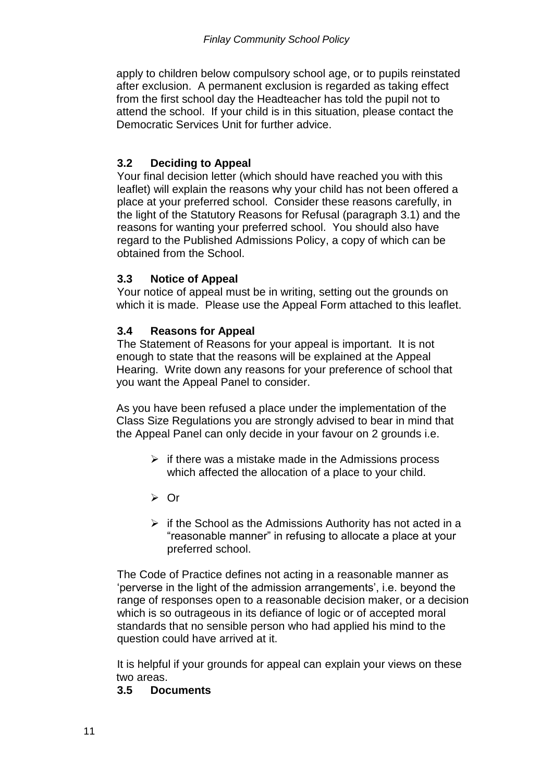apply to children below compulsory school age, or to pupils reinstated after exclusion. A permanent exclusion is regarded as taking effect from the first school day the Headteacher has told the pupil not to attend the school. If your child is in this situation, please contact the Democratic Services Unit for further advice.

### **3.2 Deciding to Appeal**

Your final decision letter (which should have reached you with this leaflet) will explain the reasons why your child has not been offered a place at your preferred school. Consider these reasons carefully, in the light of the Statutory Reasons for Refusal (paragraph 3.1) and the reasons for wanting your preferred school. You should also have regard to the Published Admissions Policy, a copy of which can be obtained from the School.

### **3.3 Notice of Appeal**

Your notice of appeal must be in writing, setting out the grounds on which it is made. Please use the Appeal Form attached to this leaflet.

#### **3.4 Reasons for Appeal**

The Statement of Reasons for your appeal is important. It is not enough to state that the reasons will be explained at the Appeal Hearing. Write down any reasons for your preference of school that you want the Appeal Panel to consider.

As you have been refused a place under the implementation of the Class Size Regulations you are strongly advised to bear in mind that the Appeal Panel can only decide in your favour on 2 grounds i.e.

- $\triangleright$  if there was a mistake made in the Admissions process which affected the allocation of a place to your child.
- $\triangleright$  Or
- $\triangleright$  if the School as the Admissions Authority has not acted in a "reasonable manner" in refusing to allocate a place at your preferred school.

The Code of Practice defines not acting in a reasonable manner as 'perverse in the light of the admission arrangements', i.e. beyond the range of responses open to a reasonable decision maker, or a decision which is so outrageous in its defiance of logic or of accepted moral standards that no sensible person who had applied his mind to the question could have arrived at it.

It is helpful if your grounds for appeal can explain your views on these two areas.

#### **3.5 Documents**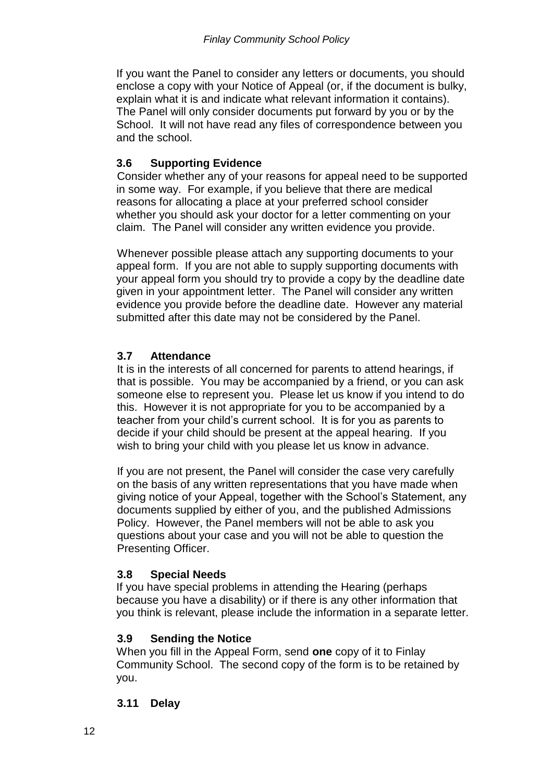If you want the Panel to consider any letters or documents, you should enclose a copy with your Notice of Appeal (or, if the document is bulky, explain what it is and indicate what relevant information it contains). The Panel will only consider documents put forward by you or by the School. It will not have read any files of correspondence between you and the school.

# **3.6 Supporting Evidence**

Consider whether any of your reasons for appeal need to be supported in some way. For example, if you believe that there are medical reasons for allocating a place at your preferred school consider whether you should ask your doctor for a letter commenting on your claim. The Panel will consider any written evidence you provide.

Whenever possible please attach any supporting documents to your appeal form. If you are not able to supply supporting documents with your appeal form you should try to provide a copy by the deadline date given in your appointment letter. The Panel will consider any written evidence you provide before the deadline date. However any material submitted after this date may not be considered by the Panel.

## **3.7 Attendance**

It is in the interests of all concerned for parents to attend hearings, if that is possible. You may be accompanied by a friend, or you can ask someone else to represent you. Please let us know if you intend to do this. However it is not appropriate for you to be accompanied by a teacher from your child's current school. It is for you as parents to decide if your child should be present at the appeal hearing. If you wish to bring your child with you please let us know in advance.

If you are not present, the Panel will consider the case very carefully on the basis of any written representations that you have made when giving notice of your Appeal, together with the School's Statement, any documents supplied by either of you, and the published Admissions Policy. However, the Panel members will not be able to ask you questions about your case and you will not be able to question the Presenting Officer.

# **3.8 Special Needs**

If you have special problems in attending the Hearing (perhaps because you have a disability) or if there is any other information that you think is relevant, please include the information in a separate letter.

# **3.9 Sending the Notice**

When you fill in the Appeal Form, send **one** copy of it to Finlay Community School. The second copy of the form is to be retained by you.

### **3.11 Delay**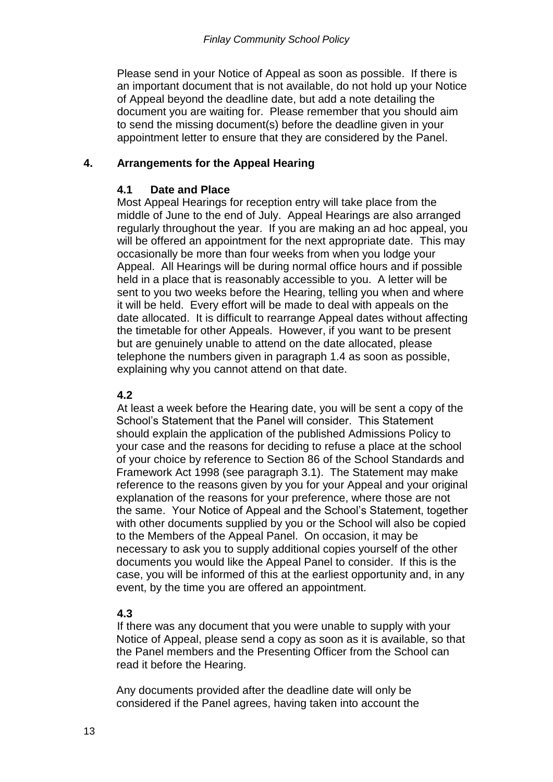Please send in your Notice of Appeal as soon as possible. If there is an important document that is not available, do not hold up your Notice of Appeal beyond the deadline date, but add a note detailing the document you are waiting for. Please remember that you should aim to send the missing document(s) before the deadline given in your appointment letter to ensure that they are considered by the Panel.

### **4. Arrangements for the Appeal Hearing**

#### **4.1 Date and Place**

Most Appeal Hearings for reception entry will take place from the middle of June to the end of July. Appeal Hearings are also arranged regularly throughout the year. If you are making an ad hoc appeal, you will be offered an appointment for the next appropriate date. This may occasionally be more than four weeks from when you lodge your Appeal. All Hearings will be during normal office hours and if possible held in a place that is reasonably accessible to you. A letter will be sent to you two weeks before the Hearing, telling you when and where it will be held. Every effort will be made to deal with appeals on the date allocated. It is difficult to rearrange Appeal dates without affecting the timetable for other Appeals. However, if you want to be present but are genuinely unable to attend on the date allocated, please telephone the numbers given in paragraph 1.4 as soon as possible, explaining why you cannot attend on that date.

### **4.2**

At least a week before the Hearing date, you will be sent a copy of the School's Statement that the Panel will consider. This Statement should explain the application of the published Admissions Policy to your case and the reasons for deciding to refuse a place at the school of your choice by reference to Section 86 of the School Standards and Framework Act 1998 (see paragraph 3.1). The Statement may make reference to the reasons given by you for your Appeal and your original explanation of the reasons for your preference, where those are not the same. Your Notice of Appeal and the School's Statement, together with other documents supplied by you or the School will also be copied to the Members of the Appeal Panel. On occasion, it may be necessary to ask you to supply additional copies yourself of the other documents you would like the Appeal Panel to consider. If this is the case, you will be informed of this at the earliest opportunity and, in any event, by the time you are offered an appointment.

### **4.3**

If there was any document that you were unable to supply with your Notice of Appeal, please send a copy as soon as it is available, so that the Panel members and the Presenting Officer from the School can read it before the Hearing.

Any documents provided after the deadline date will only be considered if the Panel agrees, having taken into account the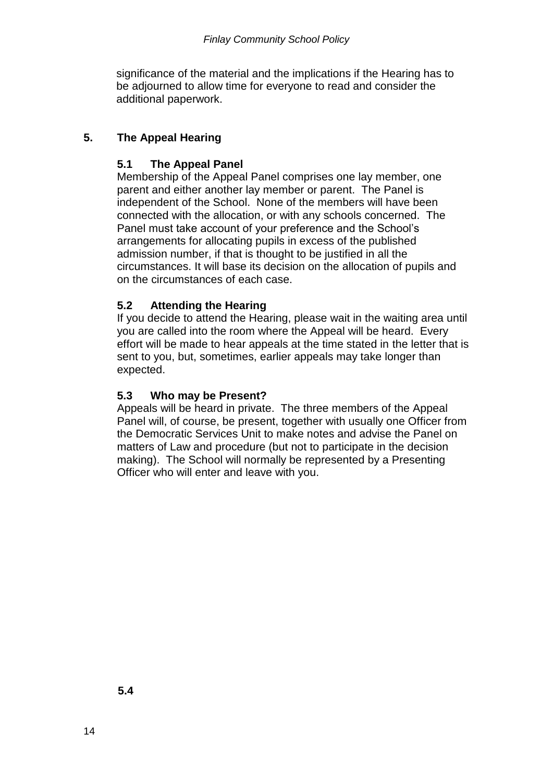significance of the material and the implications if the Hearing has to be adjourned to allow time for everyone to read and consider the additional paperwork.

# **5. The Appeal Hearing**

### **5.1 The Appeal Panel**

Membership of the Appeal Panel comprises one lay member, one parent and either another lay member or parent. The Panel is independent of the School. None of the members will have been connected with the allocation, or with any schools concerned. The Panel must take account of your preference and the School's arrangements for allocating pupils in excess of the published admission number, if that is thought to be justified in all the circumstances. It will base its decision on the allocation of pupils and on the circumstances of each case.

### **5.2 Attending the Hearing**

If you decide to attend the Hearing, please wait in the waiting area until you are called into the room where the Appeal will be heard. Every effort will be made to hear appeals at the time stated in the letter that is sent to you, but, sometimes, earlier appeals may take longer than expected.

### **5.3 Who may be Present?**

Appeals will be heard in private. The three members of the Appeal Panel will, of course, be present, together with usually one Officer from the Democratic Services Unit to make notes and advise the Panel on matters of Law and procedure (but not to participate in the decision making). The School will normally be represented by a Presenting Officer who will enter and leave with you.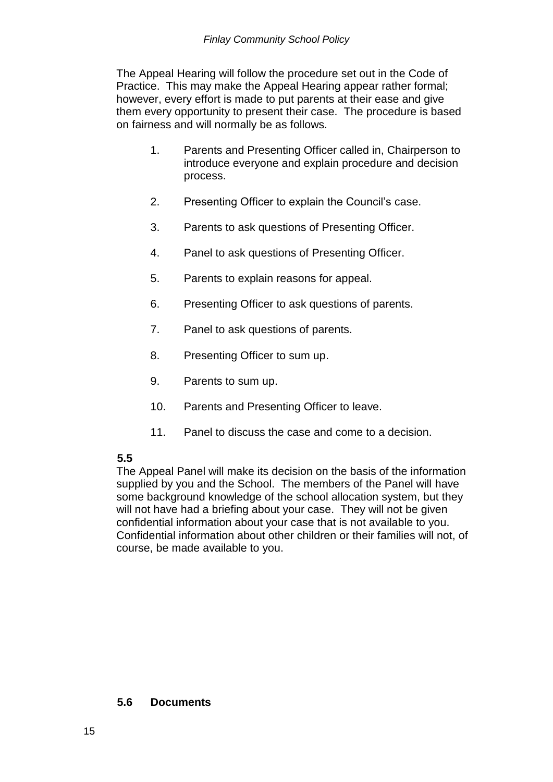The Appeal Hearing will follow the procedure set out in the Code of Practice. This may make the Appeal Hearing appear rather formal; however, every effort is made to put parents at their ease and give them every opportunity to present their case. The procedure is based on fairness and will normally be as follows.

- 1. Parents and Presenting Officer called in, Chairperson to introduce everyone and explain procedure and decision process.
- 2. Presenting Officer to explain the Council's case.
- 3. Parents to ask questions of Presenting Officer.
- 4. Panel to ask questions of Presenting Officer.
- 5. Parents to explain reasons for appeal.
- 6. Presenting Officer to ask questions of parents.
- 7. Panel to ask questions of parents.
- 8. Presenting Officer to sum up.
- 9. Parents to sum up.
- 10. Parents and Presenting Officer to leave.
- 11. Panel to discuss the case and come to a decision.

# **5.5**

The Appeal Panel will make its decision on the basis of the information supplied by you and the School. The members of the Panel will have some background knowledge of the school allocation system, but they will not have had a briefing about your case. They will not be given confidential information about your case that is not available to you. Confidential information about other children or their families will not, of course, be made available to you.

#### **5.6 Documents**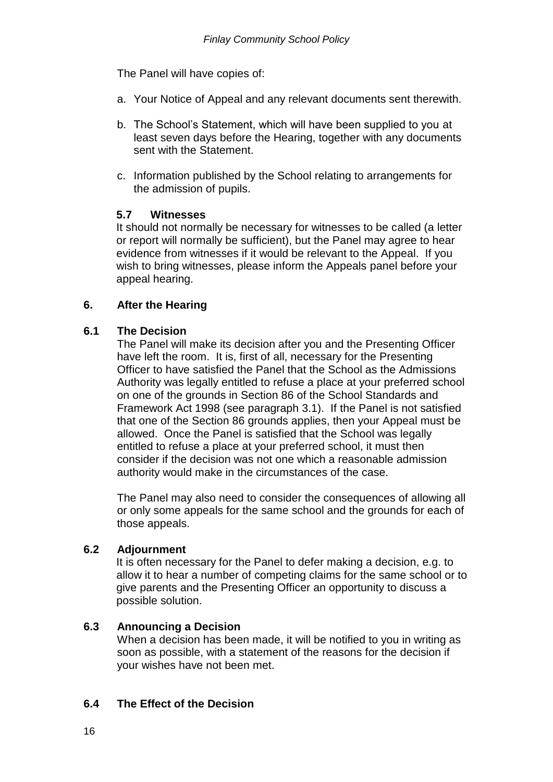The Panel will have copies of:

- a. Your Notice of Appeal and any relevant documents sent therewith.
- b. The School's Statement, which will have been supplied to you at least seven days before the Hearing, together with any documents sent with the Statement.
- c. Information published by the School relating to arrangements for the admission of pupils.

### **5.7 Witnesses**

It should not normally be necessary for witnesses to be called (a letter or report will normally be sufficient), but the Panel may agree to hear evidence from witnesses if it would be relevant to the Appeal. If you wish to bring witnesses, please inform the Appeals panel before your appeal hearing.

### **6. After the Hearing**

### **6.1 The Decision**

The Panel will make its decision after you and the Presenting Officer have left the room. It is, first of all, necessary for the Presenting Officer to have satisfied the Panel that the School as the Admissions Authority was legally entitled to refuse a place at your preferred school on one of the grounds in Section 86 of the School Standards and Framework Act 1998 (see paragraph 3.1). If the Panel is not satisfied that one of the Section 86 grounds applies, then your Appeal must be allowed. Once the Panel is satisfied that the School was legally entitled to refuse a place at your preferred school, it must then consider if the decision was not one which a reasonable admission authority would make in the circumstances of the case.

The Panel may also need to consider the consequences of allowing all or only some appeals for the same school and the grounds for each of those appeals.

### **6.2 Adjournment**

It is often necessary for the Panel to defer making a decision, e.g. to allow it to hear a number of competing claims for the same school or to give parents and the Presenting Officer an opportunity to discuss a possible solution.

### **6.3 Announcing a Decision**

When a decision has been made, it will be notified to you in writing as soon as possible, with a statement of the reasons for the decision if your wishes have not been met.

### **6.4 The Effect of the Decision**